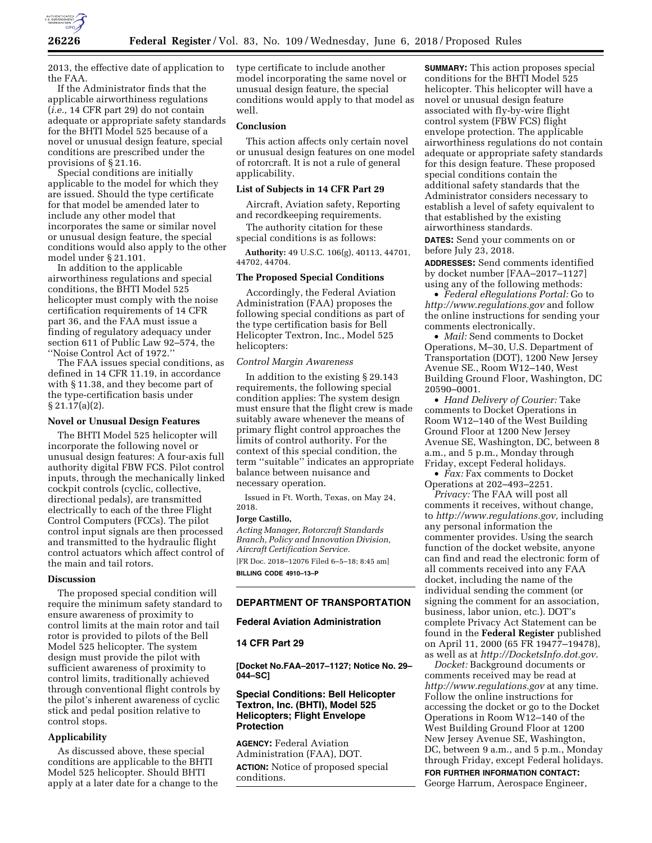

2013, the effective date of application to the FAA.

If the Administrator finds that the applicable airworthiness regulations (*i.e.,* 14 CFR part 29) do not contain adequate or appropriate safety standards for the BHTI Model 525 because of a novel or unusual design feature, special conditions are prescribed under the provisions of § 21.16.

Special conditions are initially applicable to the model for which they are issued. Should the type certificate for that model be amended later to include any other model that incorporates the same or similar novel or unusual design feature, the special conditions would also apply to the other model under § 21.101.

In addition to the applicable airworthiness regulations and special conditions, the BHTI Model 525 helicopter must comply with the noise certification requirements of 14 CFR part 36, and the FAA must issue a finding of regulatory adequacy under section 611 of Public Law 92–574, the ''Noise Control Act of 1972.''

The FAA issues special conditions, as defined in 14 CFR 11.19, in accordance with § 11.38, and they become part of the type-certification basis under  $\S 21.17(a)(2)$ .

### **Novel or Unusual Design Features**

The BHTI Model 525 helicopter will incorporate the following novel or unusual design features: A four-axis full authority digital FBW FCS. Pilot control inputs, through the mechanically linked cockpit controls (cyclic, collective, directional pedals), are transmitted electrically to each of the three Flight Control Computers (FCCs). The pilot control input signals are then processed and transmitted to the hydraulic flight control actuators which affect control of the main and tail rotors.

### **Discussion**

The proposed special condition will require the minimum safety standard to ensure awareness of proximity to control limits at the main rotor and tail rotor is provided to pilots of the Bell Model 525 helicopter. The system design must provide the pilot with sufficient awareness of proximity to control limits, traditionally achieved through conventional flight controls by the pilot's inherent awareness of cyclic stick and pedal position relative to control stops.

#### **Applicability**

As discussed above, these special conditions are applicable to the BHTI Model 525 helicopter. Should BHTI apply at a later date for a change to the type certificate to include another model incorporating the same novel or unusual design feature, the special conditions would apply to that model as well.

### **Conclusion**

This action affects only certain novel or unusual design features on one model of rotorcraft. It is not a rule of general applicability.

# **List of Subjects in 14 CFR Part 29**

Aircraft, Aviation safety, Reporting and recordkeeping requirements.

The authority citation for these special conditions is as follows:

**Authority:** 49 U.S.C. 106(g), 40113, 44701, 44702, 44704.

#### **The Proposed Special Conditions**

Accordingly, the Federal Aviation Administration (FAA) proposes the following special conditions as part of the type certification basis for Bell Helicopter Textron, Inc., Model 525 helicopters:

## *Control Margin Awareness*

In addition to the existing § 29.143 requirements, the following special condition applies: The system design must ensure that the flight crew is made suitably aware whenever the means of primary flight control approaches the limits of control authority. For the context of this special condition, the term ''suitable'' indicates an appropriate balance between nuisance and necessary operation.

Issued in Ft. Worth, Texas, on May 24, 2018.

#### **Jorge Castillo,**

*Acting Manager, Rotorcraft Standards Branch, Policy and Innovation Division, Aircraft Certification Service.* 

[FR Doc. 2018–12076 Filed 6–5–18; 8:45 am] **BILLING CODE 4910–13–P** 

# **DEPARTMENT OF TRANSPORTATION**

### **Federal Aviation Administration**

## **14 CFR Part 29**

**[Docket No.FAA–2017–1127; Notice No. 29– 044–SC]** 

## **Special Conditions: Bell Helicopter Textron, Inc. (BHTI), Model 525 Helicopters; Flight Envelope Protection**

**AGENCY:** Federal Aviation Administration (FAA), DOT. **ACTION:** Notice of proposed special conditions.

**SUMMARY:** This action proposes special conditions for the BHTI Model 525 helicopter. This helicopter will have a novel or unusual design feature associated with fly-by-wire flight control system (FBW FCS) flight envelope protection. The applicable airworthiness regulations do not contain adequate or appropriate safety standards for this design feature. These proposed special conditions contain the additional safety standards that the Administrator considers necessary to establish a level of safety equivalent to that established by the existing airworthiness standards.

**DATES:** Send your comments on or before July 23, 2018.

**ADDRESSES:** Send comments identified by docket number [FAA–2017–1127] using any of the following methods:

• *Federal eRegulations Portal:* Go to *<http://www.regulations.gov>* and follow the online instructions for sending your comments electronically.

• *Mail:* Send comments to Docket Operations, M–30, U.S. Department of Transportation (DOT), 1200 New Jersey Avenue SE., Room W12–140, West Building Ground Floor, Washington, DC 20590–0001.

• *Hand Delivery of Courier:* Take comments to Docket Operations in Room W12–140 of the West Building Ground Floor at 1200 New Jersey Avenue SE, Washington, DC, between 8 a.m., and 5 p.m., Monday through Friday, except Federal holidays.

• *Fax:* Fax comments to Docket Operations at 202–493–2251.

*Privacy:* The FAA will post all comments it receives, without change, to *[http://www.regulations.gov,](http://www.regulations.gov)* including any personal information the commenter provides. Using the search function of the docket website, anyone can find and read the electronic form of all comments received into any FAA docket, including the name of the individual sending the comment (or signing the comment for an association, business, labor union, etc.). DOT's complete Privacy Act Statement can be found in the **Federal Register** published on April 11, 2000 (65 FR 19477–19478), as well as at *<http://DocketsInfo.dot.gov>*.

*Docket:* Background documents or comments received may be read at *<http://www.regulations.gov>* at any time. Follow the online instructions for accessing the docket or go to the Docket Operations in Room W12–140 of the West Building Ground Floor at 1200 New Jersey Avenue SE, Washington, DC, between 9 a.m., and 5 p.m., Monday through Friday, except Federal holidays. **FOR FURTHER INFORMATION CONTACT:**  George Harrum, Aerospace Engineer,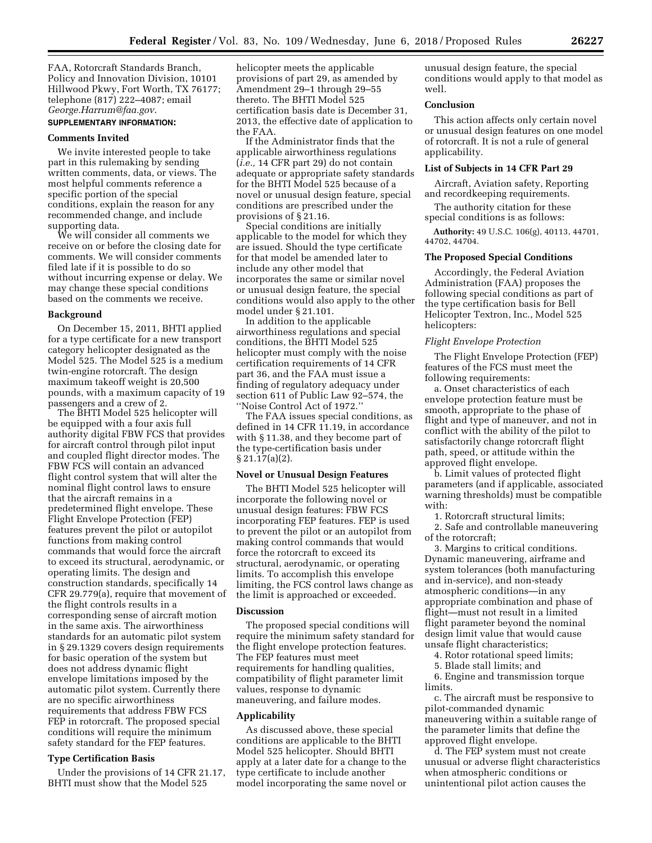FAA, Rotorcraft Standards Branch, Policy and Innovation Division, 10101 Hillwood Pkwy, Fort Worth, TX 76177; telephone (817) 222–4087; email *[George.Harrum@faa.gov](mailto:George.Harrum@faa.gov)*.

# **SUPPLEMENTARY INFORMATION:**

# **Comments Invited**

We invite interested people to take part in this rulemaking by sending written comments, data, or views. The most helpful comments reference a specific portion of the special conditions, explain the reason for any recommended change, and include supporting data.

We will consider all comments we receive on or before the closing date for comments. We will consider comments filed late if it is possible to do so without incurring expense or delay. We may change these special conditions based on the comments we receive.

#### **Background**

On December 15, 2011, BHTI applied for a type certificate for a new transport category helicopter designated as the Model 525. The Model 525 is a medium twin-engine rotorcraft. The design maximum takeoff weight is 20,500 pounds, with a maximum capacity of 19 passengers and a crew of 2.

The BHTI Model 525 helicopter will be equipped with a four axis full authority digital FBW FCS that provides for aircraft control through pilot input and coupled flight director modes. The FBW FCS will contain an advanced flight control system that will alter the nominal flight control laws to ensure that the aircraft remains in a predetermined flight envelope. These Flight Envelope Protection (FEP) features prevent the pilot or autopilot functions from making control commands that would force the aircraft to exceed its structural, aerodynamic, or operating limits. The design and construction standards, specifically 14 CFR 29.779(a), require that movement of the flight controls results in a corresponding sense of aircraft motion in the same axis. The airworthiness standards for an automatic pilot system in § 29.1329 covers design requirements for basic operation of the system but does not address dynamic flight envelope limitations imposed by the automatic pilot system. Currently there are no specific airworthiness requirements that address FBW FCS FEP in rotorcraft. The proposed special conditions will require the minimum safety standard for the FEP features.

## **Type Certification Basis**

Under the provisions of 14 CFR 21.17, BHTI must show that the Model 525

helicopter meets the applicable provisions of part 29, as amended by Amendment 29–1 through 29–55 thereto. The BHTI Model 525 certification basis date is December 31, 2013, the effective date of application to the FAA.

If the Administrator finds that the applicable airworthiness regulations (*i.e.,* 14 CFR part 29) do not contain adequate or appropriate safety standards for the BHTI Model 525 because of a novel or unusual design feature, special conditions are prescribed under the provisions of § 21.16.

Special conditions are initially applicable to the model for which they are issued. Should the type certificate for that model be amended later to include any other model that incorporates the same or similar novel or unusual design feature, the special conditions would also apply to the other model under § 21.101.

In addition to the applicable airworthiness regulations and special conditions, the BHTI Model 525 helicopter must comply with the noise certification requirements of 14 CFR part 36, and the FAA must issue a finding of regulatory adequacy under section 611 of Public Law 92–574, the ''Noise Control Act of 1972.''

The FAA issues special conditions, as defined in 14 CFR 11.19, in accordance with § 11.38, and they become part of the type-certification basis under § 21.17(a)(2).

### **Novel or Unusual Design Features**

The BHTI Model 525 helicopter will incorporate the following novel or unusual design features: FBW FCS incorporating FEP features. FEP is used to prevent the pilot or an autopilot from making control commands that would force the rotorcraft to exceed its structural, aerodynamic, or operating limits. To accomplish this envelope limiting, the FCS control laws change as the limit is approached or exceeded.

#### **Discussion**

The proposed special conditions will require the minimum safety standard for the flight envelope protection features. The FEP features must meet requirements for handling qualities, compatibility of flight parameter limit values, response to dynamic maneuvering, and failure modes.

#### **Applicability**

As discussed above, these special conditions are applicable to the BHTI Model 525 helicopter. Should BHTI apply at a later date for a change to the type certificate to include another model incorporating the same novel or unusual design feature, the special conditions would apply to that model as well.

## **Conclusion**

This action affects only certain novel or unusual design features on one model of rotorcraft. It is not a rule of general applicability.

## **List of Subjects in 14 CFR Part 29**

Aircraft, Aviation safety, Reporting and recordkeeping requirements.

The authority citation for these special conditions is as follows:

**Authority:** 49 U.S.C. 106(g), 40113, 44701, 44702, 44704.

#### **The Proposed Special Conditions**

Accordingly, the Federal Aviation Administration (FAA) proposes the following special conditions as part of the type certification basis for Bell Helicopter Textron, Inc., Model 525 helicopters:

#### *Flight Envelope Protection*

The Flight Envelope Protection (FEP) features of the FCS must meet the following requirements:

a. Onset characteristics of each envelope protection feature must be smooth, appropriate to the phase of flight and type of maneuver, and not in conflict with the ability of the pilot to satisfactorily change rotorcraft flight path, speed, or attitude within the approved flight envelope.

b. Limit values of protected flight parameters (and if applicable, associated warning thresholds) must be compatible with:

1. Rotorcraft structural limits;

2. Safe and controllable maneuvering of the rotorcraft;

3. Margins to critical conditions. Dynamic maneuvering, airframe and system tolerances (both manufacturing and in-service), and non-steady atmospheric conditions—in any appropriate combination and phase of flight—must not result in a limited flight parameter beyond the nominal design limit value that would cause unsafe flight characteristics;

4. Rotor rotational speed limits;

5. Blade stall limits; and

6. Engine and transmission torque limits.

c. The aircraft must be responsive to pilot-commanded dynamic maneuvering within a suitable range of the parameter limits that define the approved flight envelope.

d. The FEP system must not create unusual or adverse flight characteristics when atmospheric conditions or unintentional pilot action causes the